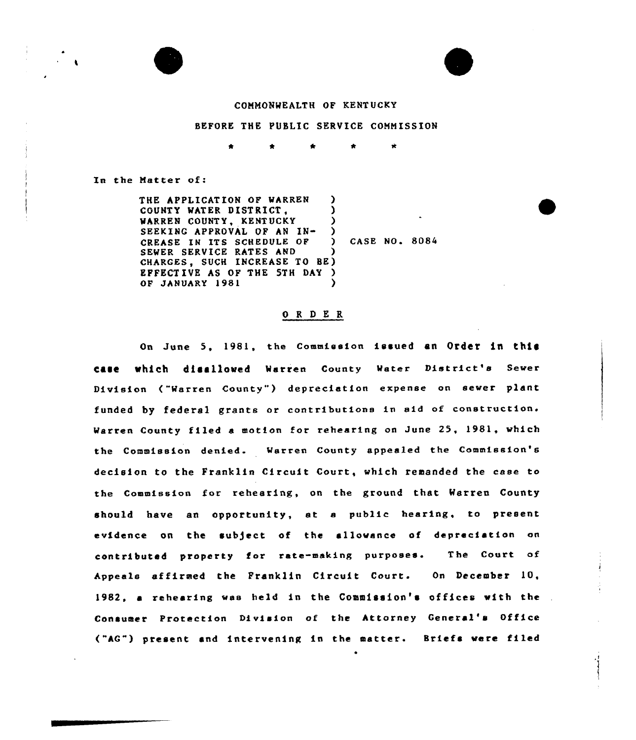



# COMMONWEALTH OF KENTUCKY

### BEFORE THE PUBLIC SERVICE COMMISSION

 $\star$ 

 $\bullet$ 

In the Matter of:

THE APPLICATION OF WARREN )<br>
COUNTY WATER DISTRICT. COUNTY WATER DISTRICT, (COUNTY ) WARREN COUNTY, KENTUCKY (COUNTY, THE PART OF AN IN-SEEKING APPROVAL OF AN IN-<br>
CREASE IN ITS SCHEDULE OF ) CREASE IN ITS SCHEDULE OF ) CASE NO. 8084 SEWER SERVICE RATES AND CHARGES, SUCH INCREASE TO BE) EFFECTIVE AS OF THE 5TH DAY ) OF JANUARY 1981

#### O R D E R

On June 5, 1981, the Commission issued an Order in this case which disallowed Warren County Water District's Sewer Division ("Warren County") depreciation expense on sewer plant funded by federal grants or contributions in aid of construction. Warren County filed e motion for rehearing on June 25, 1981, which the Commission denied. Warren County appealed the Commission's decision to the Franklin Circuit Court, which remanded the case to the Commission for rehearing, on the ground that Warren County should have en opportunity, at <sup>a</sup> public hearing, to present evidence on the subject of the allowance of depreciation on contributed property for rate-making purposes. The Court of Appeals affirmed the Franklin Circuit Court. On December 10, 1982, a rehearing was held in the Commission's offices with the Consumer Protection Division of the Attorney General'» Office ("AG") present and intervening in the matter. Briefs were filed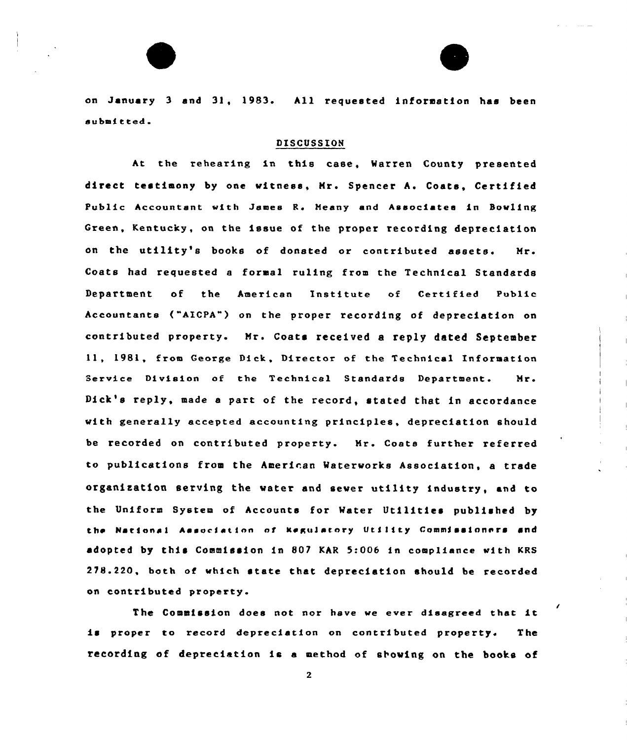

on January <sup>3</sup> and 31, 1983. All requested informatfon has been submitted.

## DISCUSSION

At the rehearing in this case, Warren County presented direct testimony by one witness, Hr. Spencer A. Coats, Certified Public Accountant with James R. Meany and Associates in Bowling Green, Kentucky, on the issue of the proper recording depreciation on the utility's books of donated or contributed assets. Mr. Coats had requested a formal ruling from the Technical Standards Departmeat of the American Institute of Certified Public Accountants ("AICPA") on the proper recording of depreciation on contributed property. Mr. Coats received a reply dated September ll, 1981, from George Dick, Director of the Technical Information Service Division of the Technical Standards Department. Mr. Dick's reply, made <sup>a</sup> part of the record, stated that in accordance with generally accepted accounting principles, depreciation should be recorded on contributed property. Mr. Coats further referred to publications from the American Waterworks Association, a trade organisation serving the vater and sever utility industry, and to the Uniform System of Accounts for Water Utilitfes published by the National Aasociation of Regulatory Utility Commissioners and adopted by this Commission in 807 KAR 5:006 in compliance with KRS 278.220, both of which state that depreciation should be recorded on contributed property.

The Commission does not nor have we ever disagreed that it is proper to record depreciation on contributed property. The recording of depreciation fs <sup>a</sup> method of stowing on the books of

 $2^{\circ}$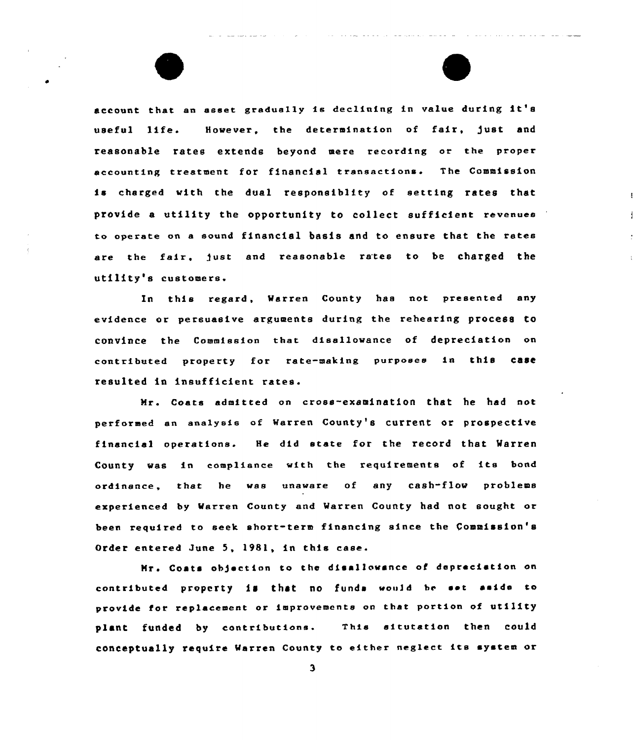account that an asset gradually is declining in value during it' useful life. However, the determination of fair, )ust and reasonable rates extends beyond mere recording or the prope accounting treatment for financial transactions. The Commissio is charged with the dual responsiblity of setting rates that provide a utility the opportunity to collect sufficient revenues to operate on a sound financial basis and to ensure that the rates are the fair, just and reasonable rates to be charged the utility's customers.

In this regard, Warren County has not presented any evidence or persuasive arguments during the rehearing process to convince the Commission that disallowance of depreciation on contributed property for rate-making purposes in this case resulted in insufficient rates.

Mr. Coats admitted on cross-examination that he had not performed en analysis of Warren County's current or prospective financial operations. He did state for the record that Warren County was in compliance with the requirements of its bond ordinance, that he was unaware of any cash-flow problems experienced by Warren County and Warren County had not sought or been required to seek short-term financing since the Commission's Order entered June 5, 1981, in this case.

Hr. Coats objection to the disallowance of depreciation on contributed property is that no funds would be set aside to provide for replacement or improvements on that portion of utility plant funded by contributions. This situtation then could conceptually require Warren County to either neglect its system or

 $\overline{\mathbf{3}}$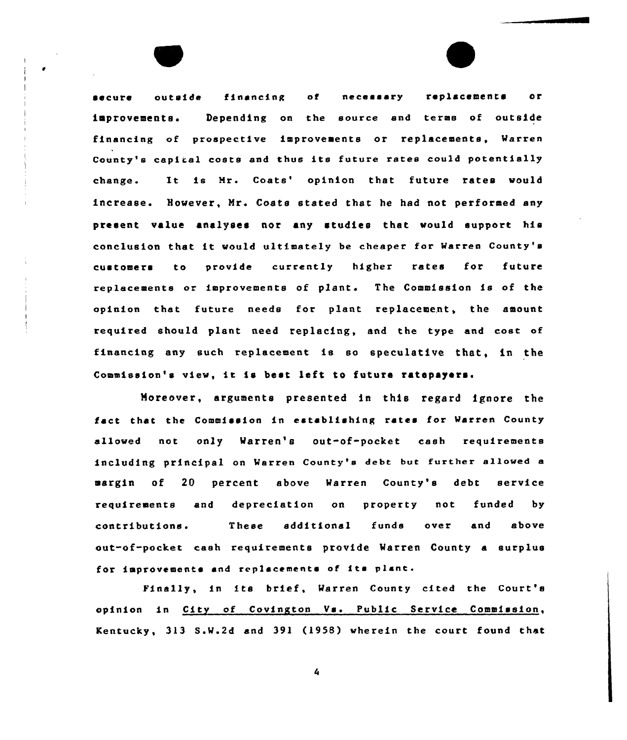secure outside financing of necessary replacements or improvements. Depending on the source snd terms of outside financing of prospective improvements or replacements, Warren County's capital costs and thus its future rates could potentially change. It is Mr. Coats' opinion that future rates would increase. However, Nr. Coats stated that he had not performed any present value analyses nor any studies that would support his conclusion that it would ultimately be cheaper for Warren County's customers to provide currently higher rates for future replacements or improvements of plant. The Commission is of the opinion thet future needs for plant replacement, the amount required should plant need teplscing, and the type end cost of finencing any such replacement is so speculative that, in the Commission's view, it is best left to future ratepayers.

Moreover, arguments presented in this regard ignore the fact that the Commission in establishing rates for Warren County allowed not only Warren's out-of-pocket cash requirements including principal on Warren County's debt but further allowed s margin of 20 percent above Warren County's debt service requirements and depreciation on property not funded by contributions. These additional funds over end above out-of-pocket ceah requirements provide Watren County a surplus for improvements and replacements of its plant.

Finally, in its brief, Warren County cited the Court's opinion in City of Covington Vs. Public Service Commission, Kentucky, 313 S.W.2d end 391 (1958) wherein the court found that

4